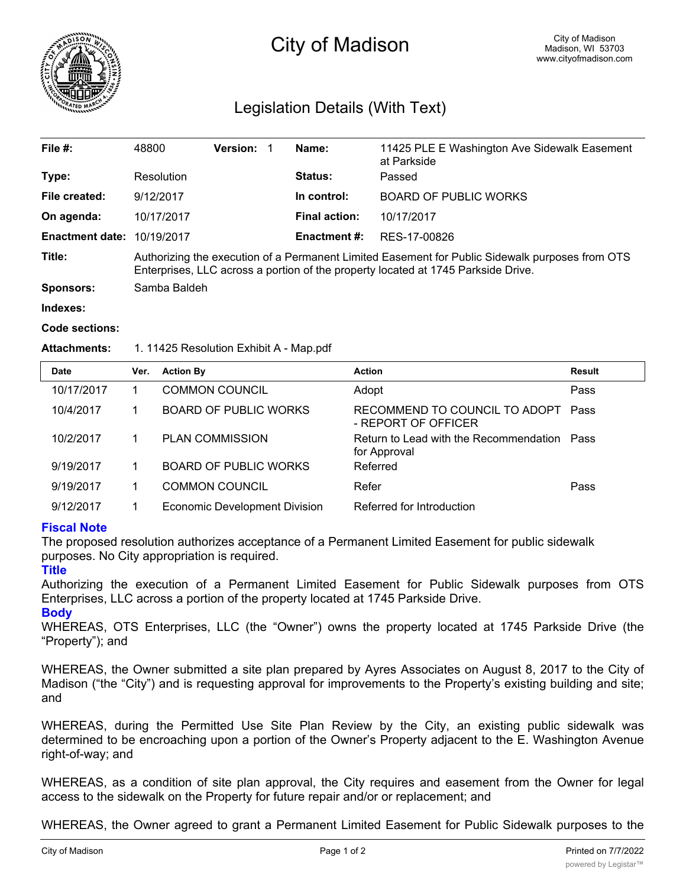

# City of Madison

# Legislation Details (With Text)

| File $#$ :             | 48800                                                                                                                                                                                | Version: |  | Name:                | 11425 PLE E Washington Ave Sidewalk Easement<br>at Parkside |  |  |
|------------------------|--------------------------------------------------------------------------------------------------------------------------------------------------------------------------------------|----------|--|----------------------|-------------------------------------------------------------|--|--|
| Type:                  | Resolution                                                                                                                                                                           |          |  | Status:              | Passed                                                      |  |  |
| File created:          | 9/12/2017                                                                                                                                                                            |          |  | In control:          | <b>BOARD OF PUBLIC WORKS</b>                                |  |  |
| On agenda:             | 10/17/2017                                                                                                                                                                           |          |  | <b>Final action:</b> | 10/17/2017                                                  |  |  |
| <b>Enactment date:</b> | 10/19/2017                                                                                                                                                                           |          |  | <b>Enactment #:</b>  | RES-17-00826                                                |  |  |
| Title:                 | Authorizing the execution of a Permanent Limited Easement for Public Sidewalk purposes from OTS<br>Enterprises, LLC across a portion of the property located at 1745 Parkside Drive. |          |  |                      |                                                             |  |  |
| <b>Sponsors:</b>       | Samba Baldeh                                                                                                                                                                         |          |  |                      |                                                             |  |  |
| Indexes:               |                                                                                                                                                                                      |          |  |                      |                                                             |  |  |
| Code sections:         |                                                                                                                                                                                      |          |  |                      |                                                             |  |  |

#### Attachments: 1. 11425 Resolution Exhibit A - Map.pdf

| <b>Date</b> | Ver. | <b>Action By</b>                     | <b>Action</b>                                               | Result |
|-------------|------|--------------------------------------|-------------------------------------------------------------|--------|
| 10/17/2017  |      | <b>COMMON COUNCIL</b>                | Adopt                                                       | Pass   |
| 10/4/2017   |      | <b>BOARD OF PUBLIC WORKS</b>         | RECOMMEND TO COUNCIL TO ADOPT<br>- REPORT OF OFFICER        | Pass   |
| 10/2/2017   |      | <b>PLAN COMMISSION</b>               | Return to Lead with the Recommendation Pass<br>for Approval |        |
| 9/19/2017   |      | <b>BOARD OF PUBLIC WORKS</b>         | Referred                                                    |        |
| 9/19/2017   |      | <b>COMMON COUNCIL</b>                | Refer                                                       | Pass   |
| 9/12/2017   |      | <b>Economic Development Division</b> | Referred for Introduction                                   |        |

## **Fiscal Note**

The proposed resolution authorizes acceptance of a Permanent Limited Easement for public sidewalk purposes. No City appropriation is required.

## **Title**

Authorizing the execution of a Permanent Limited Easement for Public Sidewalk purposes from OTS Enterprises, LLC across a portion of the property located at 1745 Parkside Drive.

**Body**

WHEREAS, OTS Enterprises, LLC (the "Owner") owns the property located at 1745 Parkside Drive (the "Property"); and

WHEREAS, the Owner submitted a site plan prepared by Ayres Associates on August 8, 2017 to the City of Madison ("the "City") and is requesting approval for improvements to the Property's existing building and site; and

WHEREAS, during the Permitted Use Site Plan Review by the City, an existing public sidewalk was determined to be encroaching upon a portion of the Owner's Property adjacent to the E. Washington Avenue right-of-way; and

WHEREAS, as a condition of site plan approval, the City requires and easement from the Owner for legal access to the sidewalk on the Property for future repair and/or or replacement; and

WHEREAS, the Owner agreed to grant a Permanent Limited Easement for Public Sidewalk purposes to the